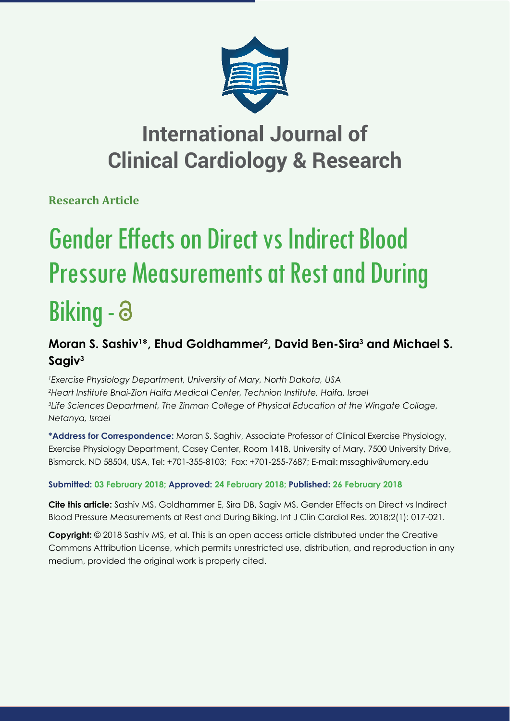

## **International Journal of Clinical Cardiology & Research**

**Research Article**

# Gender Effects on Direct vs Indirect Blood Pressure Measurements at Rest and During Biking - a

## **Moran S. Sashiv1 \*, Ehud Goldhammer2 , David Ben-Sira3 and Michael S. Sagiv3**

 *Exercise Physiology Department, University of Mary, North Dakota, USA Heart Institute Bnai-Zion Haifa Medical Center, Technion Institute, Haifa, Israel Life Sciences Department, The Zinman College of Physical Education at the Wingate Collage, Netanya, Israel*

**\*Address for Correspondence:** Moran S. Saghiv, Associate Professor of Clinical Exercise Physiology, Exercise Physiology Department, Casey Center, Room 141B, University of Mary, 7500 University Drive, Bismarck, ND 58504, USA, Tel: +701-355-8103; Fax: +701-255-7687; E-mail:

### **Submitted: 03 February 2018; Approved: 24 February 2018; Published: 26 February 2018**

**Cite this article:** Sashiv MS, Goldhammer E, Sira DB, Sagiv MS. Gender Effects on Direct vs Indirect Blood Pressure Measurements at Rest and During Biking. Int J Clin Cardiol Res. 2018;2(1): 017-021.

**Copyright:** © 2018 Sashiv MS, et al. This is an open access article distributed under the Creative Commons Attribution License, which permits unrestricted use, distribution, and reproduction in any medium, provided the original work is properly cited.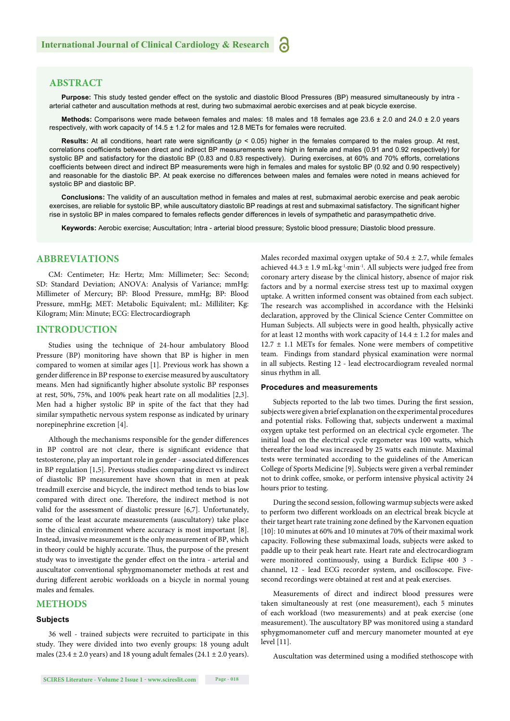#### **ABSTRACT**

**Purpose:** This study tested gender effect on the systolic and diastolic Blood Pressures (BP) measured simultaneously by intra arterial catheter and auscultation methods at rest, during two submaximal aerobic exercises and at peak bicycle exercise.

**Methods:** Comparisons were made between females and males: 18 males and 18 females age 23.6 ± 2.0 and 24.0 ± 2.0 years respectively, with work capacity of 14.5 ± 1.2 for males and 12.8 METs for females were recruited.

**Results:** At all conditions, heart rate were significantly ( $p < 0.05$ ) higher in the females compared to the males group. At rest, correlations coefficients between direct and indirect BP measurements were high in female and males (0.91 and 0.92 respectively) for systolic BP and satisfactory for the diastolic BP (0.83 and 0.83 respectively). During exercises, at 60% and 70% efforts, correlations coefficients between direct and indirect BP measurements were high in females and males for systolic BP (0.92 and 0.90 respectively) and reasonable for the diastolic BP. At peak exercise no differences between males and females were noted in means achieved for systolic BP and diastolic BP.

**Conclusions:** The validity of an auscultation method in females and males at rest, submaximal aerobic exercise and peak aerobic exercises, are reliable for systolic BP, while auscultatory diastolic BP readings at rest and submaximal satisfactory. The significant higher rise in systolic BP in males compared to females reflects gender differences in levels of sympathetic and parasympathetic drive.

**Keywords:** Aerobic exercise; Auscultation; Intra - arterial blood pressure; Systolic blood pressure; Diastolic blood pressure.

#### **ABBREVIATIONS**

CM: Centimeter; Hz: Hertz; Mm: Millimeter; Sec: Second; SD: Standard Deviation; ANOVA: Analysis of Variance; mmHg: Millimeter of Mercury; BP: Blood Pressure, mmHg; BP: Blood Pressure, mmHg; MET: Metabolic Equivalent; mL: Milliliter; Kg: Kilogram; Min: Minute; ECG: Electrocardiograph

#### **INTRODUCTION**

Studies using the technique of 24-hour ambulatory Blood Pressure (BP) monitoring have shown that BP is higher in men compared to women at similar ages [1]. Previous work has shown a gender difference in BP response to exercise measured by auscultatory means. Men had significantly higher absolute systolic BP responses at rest, 50%, 75%, and 100% peak heart rate on all modalities [2,3]. Men had a higher systolic BP in spite of the fact that they had similar sympathetic nervous system response as indicated by urinary norepinephrine excretion [4].

Although the mechanisms responsible for the gender differences in BP control are not clear, there is significant evidence that testosterone, play an important role in gender - associated differences in BP regulation [1,5]. Previous studies comparing direct vs indirect of diastolic BP measurement have shown that in men at peak treadmill exercise and bicycle, the indirect method tends to bias low compared with direct one. Therefore, the indirect method is not valid for the assessment of diastolic pressure [6,7]. Unfortunately, some of the least accurate measurements (auscultatory) take place in the clinical environment where accuracy is most important [8]. Instead, invasive measurement is the only measurement of BP, which in theory could be highly accurate. Thus, the purpose of the present study was to investigate the gender effect on the intra - arterial and auscultator conventional sphygmomanometer methods at rest and during different aerobic workloads on a bicycle in normal young males and females.

#### **METHODS**

#### **Subjects**

36 well - trained subjects were recruited to participate in this study. They were divided into two evenly groups: 18 young adult males (23.4  $\pm$  2.0 years) and 18 young adult females (24.1  $\pm$  2.0 years). Males recorded maximal oxygen uptake of  $50.4 \pm 2.7$ , while females achieved 44.3 ± 1.9 mL∙kg-1∙min-1. All subjects were judged free from coronary artery disease by the clinical history, absence of major risk factors and by a normal exercise stress test up to maximal oxygen uptake. A written informed consent was obtained from each subject. The research was accomplished in accordance with the Helsinki declaration, approved by the Clinical Science Center Committee on Human Subjects. All subjects were in good health, physically active for at least 12 months with work capacity of  $14.4 \pm 1.2$  for males and  $12.7 \pm 1.1$  METs for females. None were members of competitive team. Findings from standard physical examination were normal in all subjects. Resting 12 - lead electrocardiogram revealed normal sinus rhythm in all.

#### **Procedures and measurements**

Subjects reported to the lab two times. During the first session, subjects were given a brief explanation on the experimental procedures and potential risks. Following that, subjects underwent a maximal oxygen uptake test performed on an electrical cycle ergometer. The initial load on the electrical cycle ergometer was 100 watts, which thereafter the load was increased by 25 watts each minute. Maximal tests were terminated according to the guidelines of the American College of Sports Medicine [9]. Subjects were given a verbal reminder not to drink coffee, smoke, or perform intensive physical activity 24 hours prior to testing.

During the second session, following warmup subjects were asked to perform two different workloads on an electrical break bicycle at their target heart rate training zone defined by the Karvonen equation [10]: 10 minutes at 60% and 10 minutes at 70% of their maximal work capacity. Following these submaximal loads, subjects were asked to paddle up to their peak heart rate. Heart rate and electrocardiogram were monitored continuously, using a Burdick Eclipse 400 3 channel, 12 - lead ECG recorder system, and oscilloscope. Fivesecond recordings were obtained at rest and at peak exercises.

Measurements of direct and indirect blood pressures were taken simultaneously at rest (one measurement), each 5 minutes of each workload (two measurements) and at peak exercise (one measurement). The auscultatory BP was monitored using a standard sphygmomanometer cuff and mercury manometer mounted at eye level [11].

Auscultation was determined using a modified stethoscope with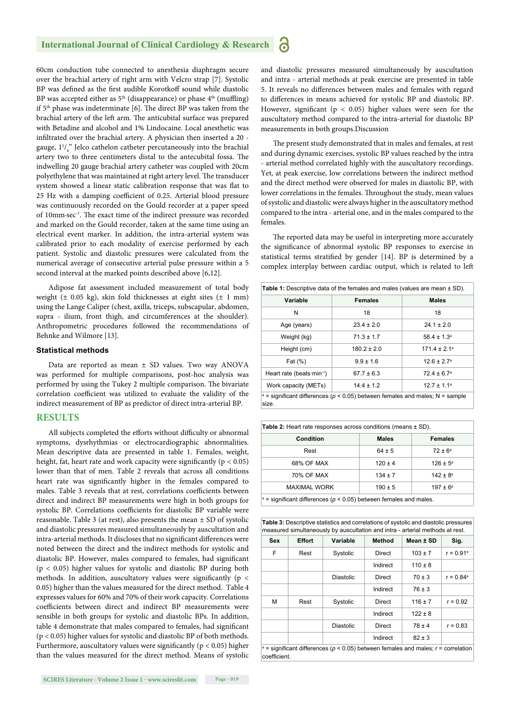#### **International Journal of Clinical Cardiology & Research** 6

60cm conduction tube connected to anesthesia diaphragm secure over the brachial artery of right arm with Velcro strap [7]. Systolic BP was defined as the first audible Korotkoff sound while diastolic BP was accepted either as  $5<sup>th</sup>$  (disappearance) or phase  $4<sup>th</sup>$  (muffling) if  $5<sup>th</sup>$  phase was indeterminate [6]. The direct BP was taken from the brachial artery of the left arm. The anticubital surface was prepared with Betadine and alcohol and 1% Lindocaine. Local anesthetic was infiltrated over the brachial artery. A physician then inserted a 20 gauge,  $1^{1}/_{4}$ " Jelco cathelon catheter percutaneously into the brachial artery two to three centimeters distal to the antecubital fossa. The indwelling 20 gauge brachial artery catheter was coupled with 20cm polyethylene that was maintained at right artery level. The transducer system showed a linear static calibration response that was flat to 25 Hz with a damping coefficient of 0.25. Arterial blood pressure was continuously recorded on the Gould recorder at a paper speed of 10mm⋅sec<sup>-1</sup>. The exact time of the indirect pressure was recorded and marked on the Gould recorder, taken at the same time using an electrical event marker. In addition, the intra-arterial system was calibrated prior to each modality of exercise performed by each patient. Systolic and diastolic pressures were calculated from the numerical average of consecutive arterial pulse pressure within a 5 second interval at the marked points described above [6,12].

Adipose fat assessment included measurement of total body weight ( $\pm$  0.05 kg), skin fold thicknesses at eight sites ( $\pm$  1 mm) using the Lange Caliper (chest, axilla, triceps, subscapular, abdomen, supra - ilium, front thigh, and circumferences at the shoulder). Anthropometric procedures followed the recommendations of Behnke and Wilmore [13].

#### **Statistical methods**

Data are reported as mean ± SD values. Two way ANOVA was performed for multiple comparisons, post-hoc analysis was performed by using the Tukey 2 multiple comparison. The bivariate correlation coefficient was utilized to evaluate the validity of the indirect measurement of BP as predictor of direct intra-arterial BP.

#### **RESULTS**

All subjects completed the efforts without difficulty or abnormal symptoms, dysrhythmias or electrocardiographic abnormalities. Mean descriptive data are presented in table 1. Females, weight, height, fat, heart rate and work capacity were significantly ( $p < 0.05$ ) lower than that of men. Table 2 reveals that across all conditions heart rate was significantly higher in the females compared to males. Table 3 reveals that at rest, correlations coefficients between direct and indirect BP measurements were high in both groups for systolic BP. Correlations coefficients for diastolic BP variable were reasonable. Table 3 (at rest), also presents the mean ± SD of systolic and diastolic pressures measured simultaneously by auscultation and intra-arterial methods. It discloses that no significant differences were noted between the direct and the indirect methods for systolic and diastolic BP. However, males compared to females, had significant (p < 0.05) higher values for systolic and diastolic BP during both methods. In addition, auscultatory values were significantly ( $p <$ 0.05) higher than the values measured for the direct method. Table 4 expresses values for 60% and 70% of their work capacity. Correlations coefficients between direct and indirect BP measurements were sensible in both groups for systolic and diastolic BPs. In addition, table 4 demonstrate that males compared to females, had significant (p < 0.05) higher values for systolic and diastolic BP of both methods. Furthermore, auscultatory values were significantly ( $p < 0.05$ ) higher than the values measured for the direct method. Means of systolic and diastolic pressures measured simultaneously by auscultation and intra - arterial methods at peak exercise are presented in table 5. It reveals no differences between males and females with regard to differences in means achieved for systolic BP and diastolic BP. However, significant ( $p < 0.05$ ) higher values were seen for the auscultatory method compared to the intra-arterial for diastolic BP measurements in both groups.Discussion

The present study demonstrated that in males and females, at rest and during dynamic exercises, systolic BP values reached by the intra - arterial method correlated highly with the auscultatory recordings. Yet, at peak exercise, low correlations between the indirect method and the direct method were observed for males in diastolic BP, with lower correlations in the females. Throughout the study, mean values of systolic and diastolic were always higher in the auscultatory method compared to the intra - arterial one, and in the males compared to the females.

The reported data may be useful in interpreting more accurately the significance of abnormal systolic BP responses to exercise in statistical terms stratified by gender [14]. BP is determined by a complex interplay between cardiac output, which is related to left

| Table 1: Descriptive data of the females and males (values are mean $\pm$ SD).              |                                    |                        |  |
|---------------------------------------------------------------------------------------------|------------------------------------|------------------------|--|
| Variable                                                                                    | <b>Females</b>                     |                        |  |
| N                                                                                           | 18                                 | 18                     |  |
| Age (years)                                                                                 | $24.1 \pm 2.0$<br>$23.4 \pm 2.0$   |                        |  |
| Weight (kg)                                                                                 | $71.3 \pm 1.7$                     | $58.4 \pm 1.3^a$       |  |
| Height (cm)                                                                                 | $180.2 \pm 2.0$                    | $171.4 \pm 2.1^a$      |  |
| Fat (%)                                                                                     | $9.9 \pm 1.6$                      | $12.6 \pm 2.7^{\circ}$ |  |
| Heart rate (beats $min^{-1}$ )<br>$67.7 \pm 6.3$                                            |                                    | $72.4 \pm 6.7^{\circ}$ |  |
| Work capacity (METs)                                                                        | $14.4 \pm 1.2$<br>$12.7 \pm 1.1^a$ |                        |  |
| $a =$ significant differences ( $p < 0.05$ ) between females and males; N = sample<br>size. |                                    |                        |  |

| <b>Table 2:</b> Heart rate responses across conditions (means $\pm$ SD).    |              |                     |  |  |
|-----------------------------------------------------------------------------|--------------|---------------------|--|--|
| <b>Condition</b>                                                            | <b>Males</b> | <b>Females</b>      |  |  |
| Rest                                                                        | $64 \pm 5$   | $72 \pm 6^a$        |  |  |
| 68% OF MAX                                                                  | $120 \pm 4$  | $126 \pm 5^{\circ}$ |  |  |
| 70% OF MAX                                                                  | $134 \pm 7$  | $142 \pm 8^a$       |  |  |
| <b>MAXIMAL WORK</b>                                                         | $190 \pm 5$  | $197 \pm 6^a$       |  |  |
| $\sigma$ = significant differences ( $p$ < 0.05) between females and males. |              |                     |  |  |

= signifi cant differences (*p* < 0.05) between females and males.

**Table 3:** Descriptive statistics and correlations of systolic and diastolic pressures measured simultaneously by auscultation and intra - arterial methods at rest.

| <b>Sex</b>                                                                                              | <b>Effort</b> | Variable         | <b>Method</b> | Mean ± SD   | Sig.                    |
|---------------------------------------------------------------------------------------------------------|---------------|------------------|---------------|-------------|-------------------------|
| F                                                                                                       | Rest          | Systolic         | Direct        | $103 \pm 7$ | $r = 0.91$ <sup>a</sup> |
|                                                                                                         |               |                  | Indirect      | $110 \pm 8$ |                         |
|                                                                                                         |               | <b>Diastolic</b> | Direct        | $70 \pm 3$  | $r = 0.84^a$            |
|                                                                                                         |               |                  | Indirect      | $76 \pm 3$  |                         |
| М                                                                                                       | Rest          | Systolic         | Direct        | $116 \pm 7$ | $r = 0.92$              |
|                                                                                                         |               |                  | Indirect      | $122 \pm 8$ |                         |
|                                                                                                         |               | <b>Diastolic</b> | Direct        | $78 \pm 4$  | $r = 0.83$              |
|                                                                                                         |               |                  | Indirect      | $82 \pm 3$  |                         |
| $a =$ significant differences ( $p < 0.05$ ) between females and males; r = correlation<br>coefficient. |               |                  |               |             |                         |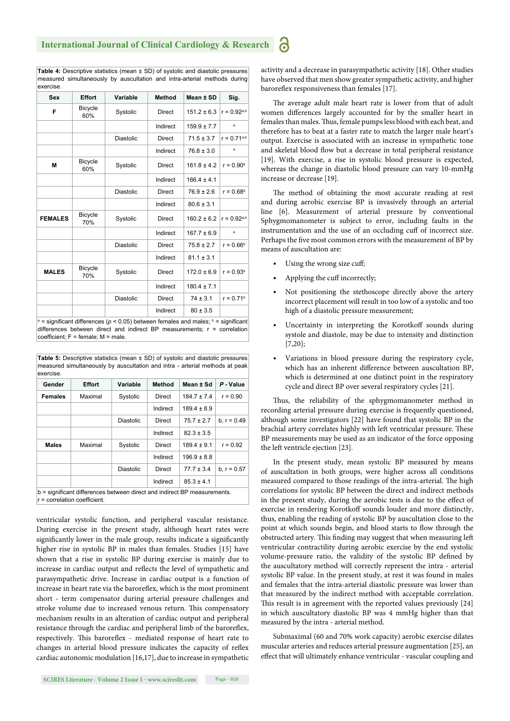**Table 4:** Descriptive statistics (mean ± SD) of systolic and diastolic pressures measured simultaneously by auscultation and intra-arterial methods during exercise.

| <b>Sex</b>     | <b>Effort</b>         | Variable         | <b>Method</b> | Mean ± SD       | Sig.             |
|----------------|-----------------------|------------------|---------------|-----------------|------------------|
| F              | <b>Bicycle</b><br>60% | Systolic         | Direct        | $151.2 \pm 6.3$ | $r = 0.92^{a,b}$ |
|                |                       |                  | Indirect      | $159.9 \pm 7.7$ | a                |
|                |                       | <b>Diastolic</b> | Direct        | $71.5 \pm 3.7$  | $r = 0.71a,b$    |
|                |                       |                  | Indirect      | $76.8 \pm 3.0$  | a                |
| M              | <b>Bicycle</b><br>60% | Systolic         | Direct        | $161.8 \pm 4.2$ | $r = 0.90^b$     |
|                |                       |                  | Indirect      | $166.4 \pm 4.1$ |                  |
|                |                       | <b>Diastolic</b> | <b>Direct</b> | $76.9 \pm 2.6$  | $r = 0.68^b$     |
|                |                       |                  | Indirect      | $80.6 \pm 3.1$  |                  |
| <b>FEMALES</b> | <b>Bicycle</b><br>70% | Systolic         | Direct        | $160.2 \pm 6.2$ | $r = 0.92^{a,b}$ |
|                |                       |                  | Indirect      | $167.7 \pm 6.9$ | a                |
|                |                       | <b>Diastolic</b> | Direct        | $75.8 \pm 2.7$  | $r = 0.66b$      |
|                |                       |                  | Indirect      | $81.1 \pm 3.1$  |                  |
| <b>MALES</b>   | <b>Bicycle</b><br>70% | Systolic         | <b>Direct</b> | $172.0 \pm 6.9$ | $r = 0.93b$      |
|                |                       |                  | Indirect      | $180.4 \pm 7.1$ |                  |
|                |                       | <b>Diastolic</b> | <b>Direct</b> | $74 \pm 3.1$    | $r = 0.71b$      |
|                |                       |                  | Indirect      | $80 \pm 3.5$    |                  |

 $a =$  significant differences ( $p < 0.05$ ) between females and males;  $b =$  significant differences between direct and indirect BP measurements;  $r =$  correlation coefficient;  $F =$  female;  $M =$  male.

**Table 5:** Descriptive statistics (mean ± SD) of systolic and diastolic pressures measured simultaneously by auscultation and intra - arterial methods at peak

| exercise.      |                                                                          |                  |               |                 |               |
|----------------|--------------------------------------------------------------------------|------------------|---------------|-----------------|---------------|
| Gender         | <b>Effort</b>                                                            | Variable         | <b>Method</b> | Mean ± Sd       | P - Value     |
| <b>Females</b> | Maximal                                                                  | Systolic         | Direct        | $184.7 \pm 7.4$ | $r = 0.90$    |
|                |                                                                          |                  | Indirect      | $189.4 \pm 8.9$ |               |
|                |                                                                          | <b>Diastolic</b> | Direct        | $75.7 \pm 2.7$  | b. $r = 0.49$ |
|                |                                                                          |                  | Indirect      | $82.3 \pm 3.5$  |               |
| <b>Males</b>   | Maximal                                                                  | Systolic         | Direct        | $189.4 \pm 9.1$ | $r = 0.92$    |
|                |                                                                          |                  | Indirect      | $196.9 \pm 8.8$ |               |
|                |                                                                          | <b>Diastolic</b> | Direct        | $77.7 \pm 3.4$  | $b, r = 0.57$ |
|                |                                                                          |                  | Indirect      | $85.3 \pm 4.1$  |               |
|                | b = significant differences between direct and indirect BP measurements. |                  |               |                 |               |

 $r =$  correlation coefficient.

ventricular systolic function, and peripheral vascular resistance. During exercise in the present study, although heart rates were significantly lower in the male group, results indicate a significantly higher rise in systolic BP in males than females. Studies [15] have shown that a rise in systolic BP during exercise is mainly due to increase in cardiac output and reflects the level of sympathetic and parasympathetic drive. Increase in cardiac output is a function of increase in heart rate via the baroreflex, which is the most prominent short - term compensator during arterial pressure challenges and stroke volume due to increased venous return. This compensatory mechanism results in an alteration of cardiac output and peripheral resistance through the cardiac and peripheral limb of the baroreflex, respectively. This baroreflex - mediated response of heart rate to changes in arterial blood pressure indicates the capacity of reflex cardiac autonomic modulation [16,17], due to increase in sympathetic activity and a decrease in parasympathetic activity [18]. Other studies have observed that men show greater sympathetic activity, and higher baroreflex responsiveness than females [17].

The average adult male heart rate is lower from that of adult women differences largely accounted for by the smaller heart in females than males. Thus, female pumps less blood with each beat, and therefore has to beat at a faster rate to match the larger male heart's output. Exercise is associated with an increase in sympathetic tone and skeletal blood flow but a decrease in total peripheral resistance [19]. With exercise, a rise in systolic blood pressure is expected, whereas the change in diastolic blood pressure can vary 10-mmHg increase or decrease [19].

The method of obtaining the most accurate reading at rest and during aerobic exercise BP is invasively through an arterial line [6]. Measurement of arterial pressure by conventional Sphygmomanometer is subject to error, including faults in the instrumentation and the use of an occluding cuff of incorrect size. Perhaps the five most common errors with the measurement of BP by means of auscultation are:

• Using the wrong size cuff;

a

- Applying the cuff incorrectly;
- Not positioning the stethoscope directly above the artery incorrect placement will result in too low of a systolic and too high of a diastolic pressure measurement;
- Uncertainty in interpreting the Korotkoff sounds during systole and diastole, may be due to intensity and distinction [7,20];
- Variations in blood pressure during the respiratory cycle, which has an inherent difference between auscultation BP, which is determined at one distinct point in the respiratory cycle and direct BP over several respiratory cycles [21].

Thus, the reliability of the sphygmomanometer method in recording arterial pressure during exercise is frequently questioned, although some investigators [22] have found that systolic BP in the brachial artery correlates highly with left ventricular pressure. These BP measurements may be used as an indicator of the force opposing the left ventricle ejection [23].

In the present study, mean systolic BP measured by means of auscultation in both groups, were higher across all conditions measured compared to those readings of the intra-arterial. The high correlations for systolic BP between the direct and indirect methods in the present study, during the aerobic tests is due to the effect of exercise in rendering Korotkoff sounds louder and more distinctly, thus, enabling the reading of systolic BP by auscultation close to the point at which sounds begin, and blood starts to flow through the obstructed artery. This finding may suggest that when measuring left ventricular contractility during aerobic exercise by the end systolic volume-pressure ratio, the validity of the systolic BP defined by the auscultatory method will correctly represent the intra - arterial systolic BP value. In the present study, at rest it was found in males and females that the intra-arterial diastolic pressure was lower than that measured by the indirect method with acceptable correlation. This result is in agreement with the reported values previously [24] in which auscultatory diastolic BP was 4 mmHg higher than that measured by the intra - arterial method.

Submaximal (60 and 70% work capacity) aerobic exercise dilates muscular arteries and reduces arterial pressure augmentation [25], an effect that will ultimately enhance ventricular - vascular coupling and